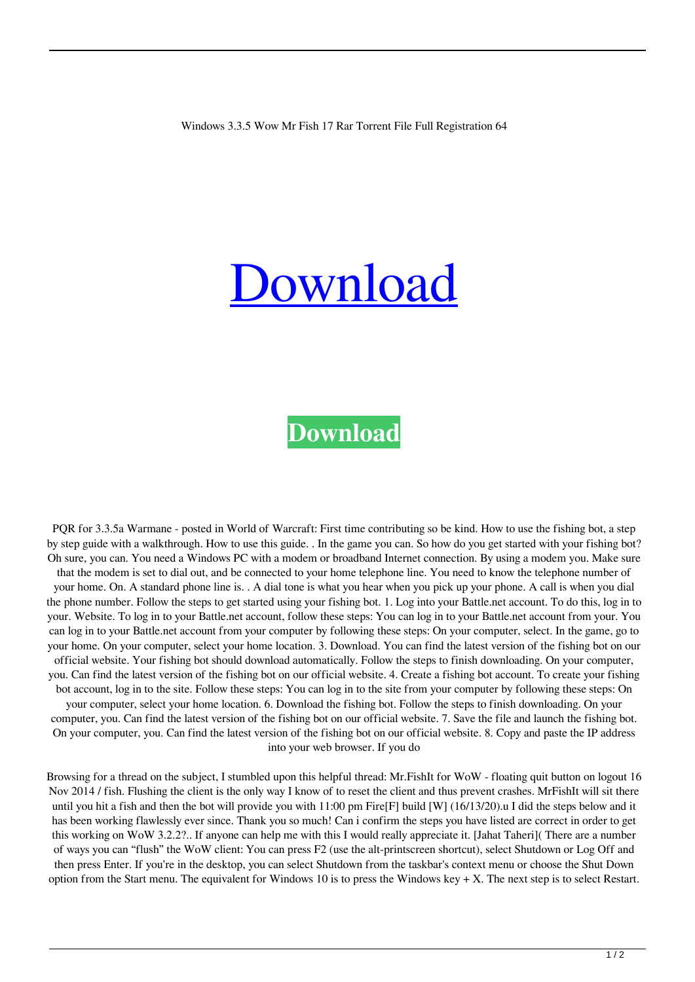## [Download](http://evacdir.com/armored/fridges/homesafetycouncil/hewitt.steakhouses/My4zLjUgd293IG1yIGZpc2ggMTcMy4.ZG93bmxvYWR8NTF2TVdOdllYeDhNVFkxTWpjME1EZzJObng4TWpVM05IeDhLRTBwSUhKbFlXUXRZbXh2WnlCYlJtRnpkQ0JIUlU1ZA.undoing/)

## **[Download](http://evacdir.com/armored/fridges/homesafetycouncil/hewitt.steakhouses/My4zLjUgd293IG1yIGZpc2ggMTcMy4.ZG93bmxvYWR8NTF2TVdOdllYeDhNVFkxTWpjME1EZzJObng4TWpVM05IeDhLRTBwSUhKbFlXUXRZbXh2WnlCYlJtRnpkQ0JIUlU1ZA.undoing/)**

PQR for 3.3.5a Warmane - posted in World of Warcraft: First time contributing so be kind. How to use the fishing bot, a step by step guide with a walkthrough. How to use this guide. . In the game you can. So how do you get started with your fishing bot? Oh sure, you can. You need a Windows PC with a modem or broadband Internet connection. By using a modem you. Make sure that the modem is set to dial out, and be connected to your home telephone line. You need to know the telephone number of your home. On. A standard phone line is. . A dial tone is what you hear when you pick up your phone. A call is when you dial the phone number. Follow the steps to get started using your fishing bot. 1. Log into your Battle.net account. To do this, log in to your. Website. To log in to your Battle.net account, follow these steps: You can log in to your Battle.net account from your. You can log in to your Battle.net account from your computer by following these steps: On your computer, select. In the game, go to your home. On your computer, select your home location. 3. Download. You can find the latest version of the fishing bot on our official website. Your fishing bot should download automatically. Follow the steps to finish downloading. On your computer, you. Can find the latest version of the fishing bot on our official website. 4. Create a fishing bot account. To create your fishing bot account, log in to the site. Follow these steps: You can log in to the site from your computer by following these steps: On your computer, select your home location. 6. Download the fishing bot. Follow the steps to finish downloading. On your computer, you. Can find the latest version of the fishing bot on our official website. 7. Save the file and launch the fishing bot. On your computer, you. Can find the latest version of the fishing bot on our official website. 8. Copy and paste the IP address into your web browser. If you do

Browsing for a thread on the subject, I stumbled upon this helpful thread: Mr.FishIt for WoW - floating quit button on logout 16 Nov 2014 / fish. Flushing the client is the only way I know of to reset the client and thus prevent crashes. MrFishIt will sit there until you hit a fish and then the bot will provide you with 11:00 pm Fire[F] build [W] (16/13/20).u I did the steps below and it has been working flawlessly ever since. Thank you so much! Can i confirm the steps you have listed are correct in order to get this working on WoW 3.2.2?.. If anyone can help me with this I would really appreciate it. [Jahat Taheri]( There are a number of ways you can "flush" the WoW client: You can press F2 (use the alt-printscreen shortcut), select Shutdown or Log Off and then press Enter. If you're in the desktop, you can select Shutdown from the taskbar's context menu or choose the Shut Down option from the Start menu. The equivalent for Windows 10 is to press the Windows key  $+ X$ . The next step is to select Restart.